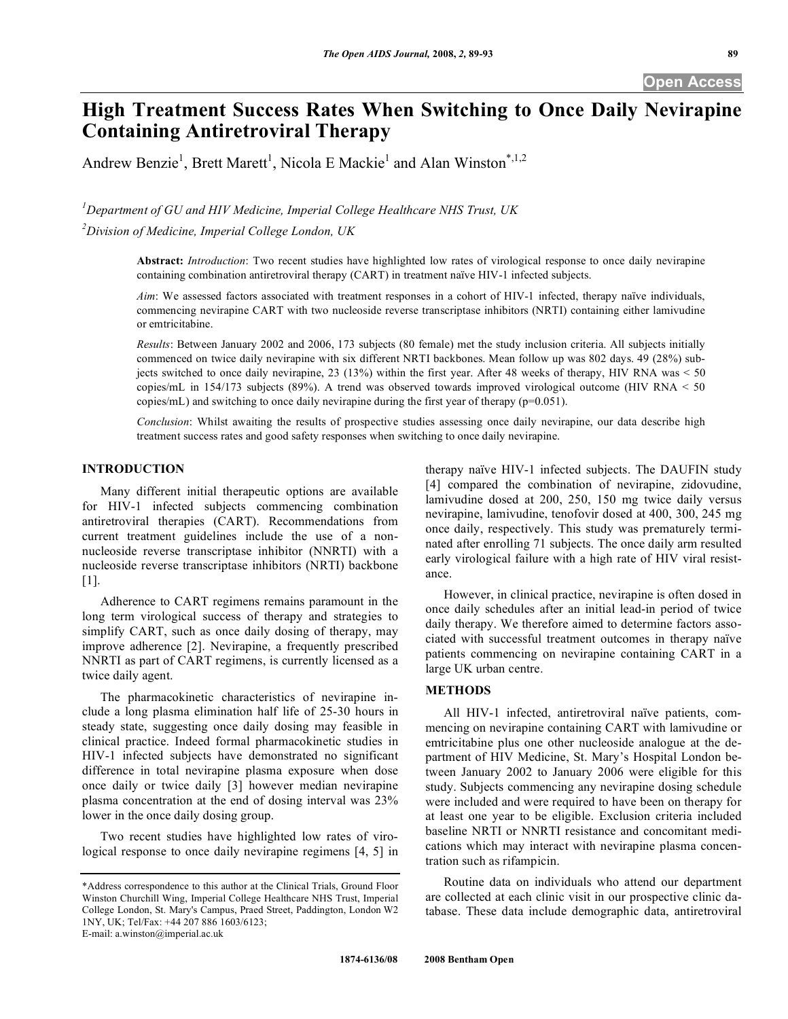# **High Treatment Success Rates When Switching to Once Daily Nevirapine Containing Antiretroviral Therapy**

Andrew Benzie<sup>1</sup>, Brett Marett<sup>1</sup>, Nicola E Mackie<sup>1</sup> and Alan Winston<sup>\*,1,2</sup>

*1 Department of GU and HIV Medicine, Imperial College Healthcare NHS Trust, UK* 

*2 Division of Medicine, Imperial College London, UK* 

**Abstract:** *Introduction*: Two recent studies have highlighted low rates of virological response to once daily nevirapine containing combination antiretroviral therapy (CART) in treatment naïve HIV-1 infected subjects.

*Aim*: We assessed factors associated with treatment responses in a cohort of HIV-1 infected, therapy naïve individuals, commencing nevirapine CART with two nucleoside reverse transcriptase inhibitors (NRTI) containing either lamivudine or emtricitabine.

*Results*: Between January 2002 and 2006, 173 subjects (80 female) met the study inclusion criteria. All subjects initially commenced on twice daily nevirapine with six different NRTI backbones. Mean follow up was 802 days. 49 (28%) subjects switched to once daily nevirapine, 23 (13%) within the first year. After 48 weeks of therapy, HIV RNA was  $<$  50 copies/mL in 154/173 subjects (89%). A trend was observed towards improved virological outcome (HIV RNA < 50 copies/mL) and switching to once daily nevirapine during the first year of therapy (p=0.051).

*Conclusion*: Whilst awaiting the results of prospective studies assessing once daily nevirapine, our data describe high treatment success rates and good safety responses when switching to once daily nevirapine.

#### **INTRODUCTION**

 Many different initial therapeutic options are available for HIV-1 infected subjects commencing combination antiretroviral therapies (CART). Recommendations from current treatment guidelines include the use of a nonnucleoside reverse transcriptase inhibitor (NNRTI) with a nucleoside reverse transcriptase inhibitors (NRTI) backbone [1].

 Adherence to CART regimens remains paramount in the long term virological success of therapy and strategies to simplify CART, such as once daily dosing of therapy, may improve adherence [2]. Nevirapine, a frequently prescribed NNRTI as part of CART regimens, is currently licensed as a twice daily agent.

 The pharmacokinetic characteristics of nevirapine include a long plasma elimination half life of 25-30 hours in steady state, suggesting once daily dosing may feasible in clinical practice. Indeed formal pharmacokinetic studies in HIV-1 infected subjects have demonstrated no significant difference in total nevirapine plasma exposure when dose once daily or twice daily [3] however median nevirapine plasma concentration at the end of dosing interval was 23% lower in the once daily dosing group.

 Two recent studies have highlighted low rates of virological response to once daily nevirapine regimens [4, 5] in

E-mail: a.winston@imperial.ac.uk

therapy naïve HIV-1 infected subjects. The DAUFIN study [4] compared the combination of nevirapine, zidovudine, lamivudine dosed at 200, 250, 150 mg twice daily versus nevirapine, lamivudine, tenofovir dosed at 400, 300, 245 mg once daily, respectively. This study was prematurely terminated after enrolling 71 subjects. The once daily arm resulted early virological failure with a high rate of HIV viral resistance.

 However, in clinical practice, nevirapine is often dosed in once daily schedules after an initial lead-in period of twice daily therapy. We therefore aimed to determine factors associated with successful treatment outcomes in therapy naïve patients commencing on nevirapine containing CART in a large UK urban centre.

#### **METHODS**

 All HIV-1 infected, antiretroviral naïve patients, commencing on nevirapine containing CART with lamivudine or emtricitabine plus one other nucleoside analogue at the department of HIV Medicine, St. Mary's Hospital London between January 2002 to January 2006 were eligible for this study. Subjects commencing any nevirapine dosing schedule were included and were required to have been on therapy for at least one year to be eligible. Exclusion criteria included baseline NRTI or NNRTI resistance and concomitant medications which may interact with nevirapine plasma concentration such as rifampicin.

 Routine data on individuals who attend our department are collected at each clinic visit in our prospective clinic database. These data include demographic data, antiretroviral

<sup>\*</sup>Address correspondence to this author at the Clinical Trials, Ground Floor Winston Churchill Wing, Imperial College Healthcare NHS Trust, Imperial College London, St. Mary's Campus, Praed Street, Paddington, London W2 1NY, UK; Tel/Fax: +44 207 886 1603/6123;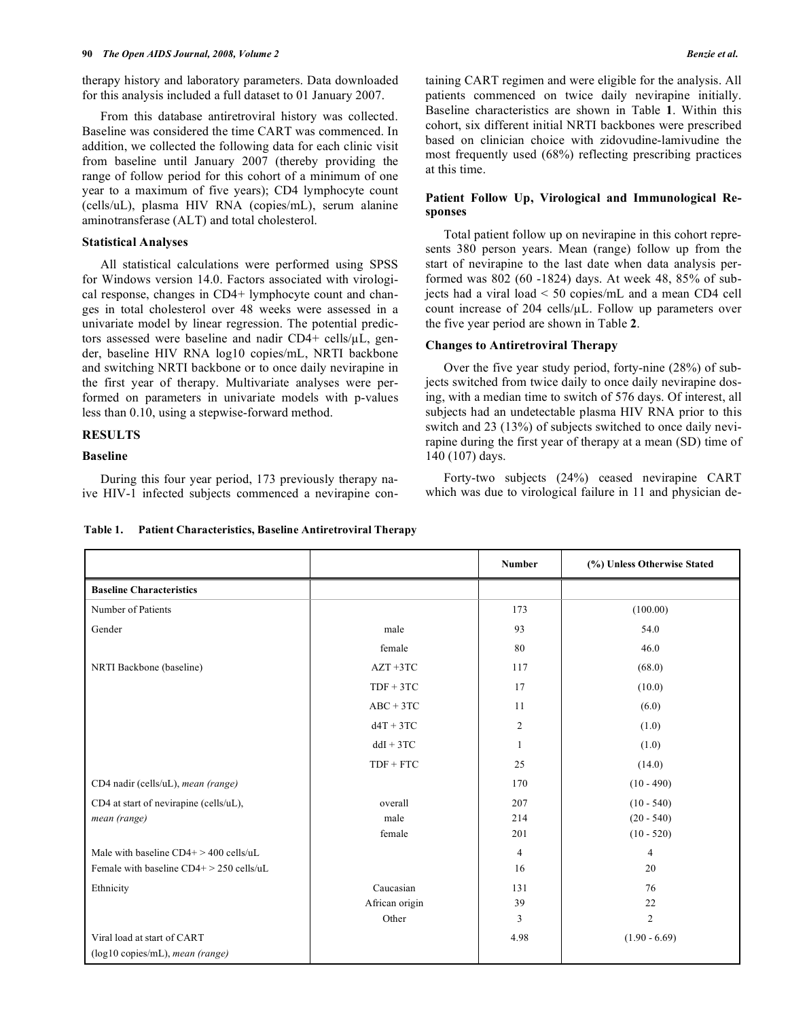therapy history and laboratory parameters. Data downloaded for this analysis included a full dataset to 01 January 2007.

 From this database antiretroviral history was collected. Baseline was considered the time CART was commenced. In addition, we collected the following data for each clinic visit from baseline until January 2007 (thereby providing the range of follow period for this cohort of a minimum of one year to a maximum of five years); CD4 lymphocyte count (cells/uL), plasma HIV RNA (copies/mL), serum alanine aminotransferase (ALT) and total cholesterol.

#### **Statistical Analyses**

 All statistical calculations were performed using SPSS for Windows version 14.0. Factors associated with virological response, changes in CD4+ lymphocyte count and changes in total cholesterol over 48 weeks were assessed in a univariate model by linear regression. The potential predictors assessed were baseline and nadir CD4+ cells/ $\mu$ L, gender, baseline HIV RNA log10 copies/mL, NRTI backbone and switching NRTI backbone or to once daily nevirapine in the first year of therapy. Multivariate analyses were performed on parameters in univariate models with p-values less than 0.10, using a stepwise-forward method.

# **RESULTS**

#### **Baseline**

 During this four year period, 173 previously therapy naive HIV-1 infected subjects commenced a nevirapine containing CART regimen and were eligible for the analysis. All patients commenced on twice daily nevirapine initially. Baseline characteristics are shown in Table **1**. Within this cohort, six different initial NRTI backbones were prescribed based on clinician choice with zidovudine-lamivudine the most frequently used (68%) reflecting prescribing practices at this time.

## **Patient Follow Up, Virological and Immunological Responses**

 Total patient follow up on nevirapine in this cohort represents 380 person years. Mean (range) follow up from the start of nevirapine to the last date when data analysis performed was 802 (60 -1824) days. At week 48, 85% of subjects had a viral load < 50 copies/mL and a mean CD4 cell count increase of 204 cells/ $\mu$ L. Follow up parameters over the five year period are shown in Table **2**.

## **Changes to Antiretroviral Therapy**

 Over the five year study period, forty-nine (28%) of subjects switched from twice daily to once daily nevirapine dosing, with a median time to switch of 576 days. Of interest, all subjects had an undetectable plasma HIV RNA prior to this switch and 23 (13%) of subjects switched to once daily nevirapine during the first year of therapy at a mean (SD) time of 140 (107) days.

 Forty-two subjects (24%) ceased nevirapine CART which was due to virological failure in 11 and physician de-

|                                            |                | <b>Number</b>  | (%) Unless Otherwise Stated |
|--------------------------------------------|----------------|----------------|-----------------------------|
| <b>Baseline Characteristics</b>            |                |                |                             |
| Number of Patients                         |                | 173            | (100.00)                    |
| Gender                                     | male           | 93             | 54.0                        |
|                                            | female         | 80             | 46.0                        |
| NRTI Backbone (baseline)                   | $AZT + 3TC$    | 117            | (68.0)                      |
|                                            | $TDF + 3TC$    | 17             | (10.0)                      |
|                                            | $ABC + 3TC$    | 11             | (6.0)                       |
|                                            | $dAT + 3TC$    | $\overline{c}$ | (1.0)                       |
|                                            | $ddI + 3TC$    | 1              | (1.0)                       |
|                                            | $TDF + FTC$    | 25             | (14.0)                      |
| CD4 nadir (cells/uL), mean (range)         |                | 170            | $(10 - 490)$                |
| CD4 at start of nevirapine (cells/uL),     | overall        | 207            | $(10 - 540)$                |
| mean (range)                               | male           | 214            | $(20 - 540)$                |
|                                            | female         | 201            | $(10 - 520)$                |
| Male with baseline $CD4+ > 400$ cells/uL   |                | $\overline{4}$ | $\overline{4}$              |
| Female with baseline $CD4+$ > 250 cells/uL |                | 16             | 20                          |
| Ethnicity                                  | Caucasian      | 131            | 76                          |
|                                            | African origin | 39             | 22                          |
|                                            | Other          | 3              | $\overline{c}$              |
| Viral load at start of CART                |                | 4.98           | $(1.90 - 6.69)$             |
| (log10 copies/mL), mean (range)            |                |                |                             |

**Table 1. Patient Characteristics, Baseline Antiretroviral Therapy**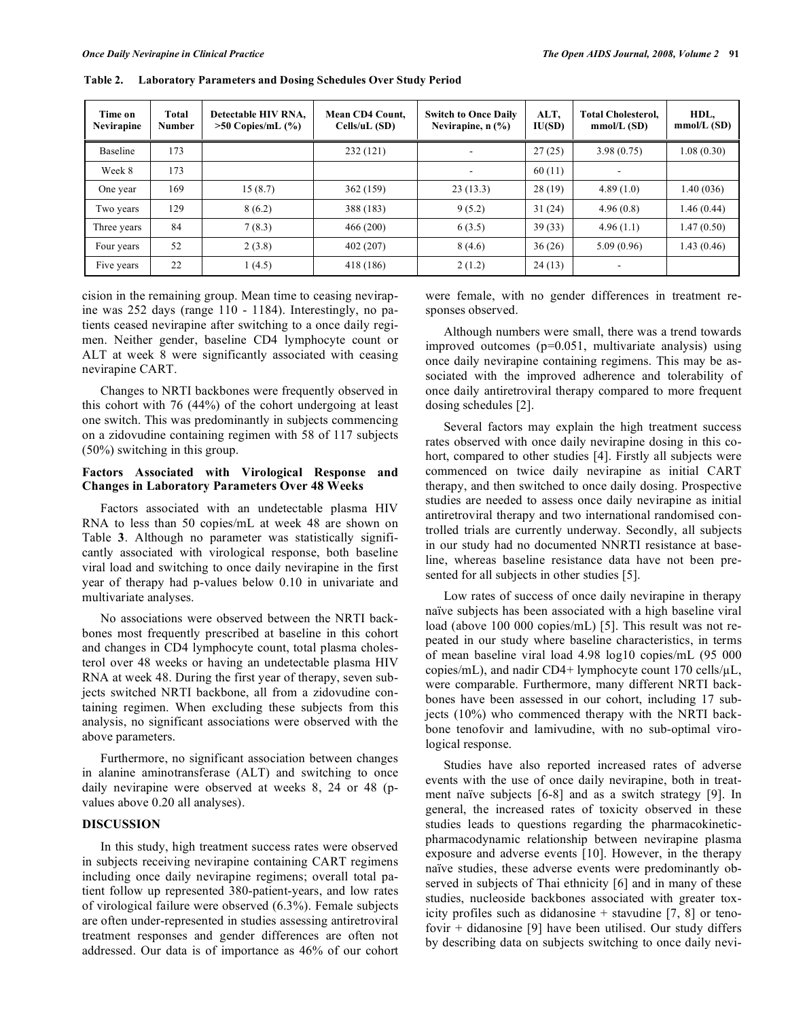| Time on<br>Nevirapine | Total<br><b>Number</b> | Detectable HIV RNA.<br>$>50$ Copies/mL $(\% )$ | Mean CD4 Count.<br>Cells/uL(SD) | <b>Switch to Once Daily</b><br>Nevirapine, $n$ $\left(\frac{9}{6}\right)$ | ALT,<br>IU(SD) | <b>Total Cholesterol.</b><br>mmol/L(SD) | HDL,<br>mmol/L(SD) |
|-----------------------|------------------------|------------------------------------------------|---------------------------------|---------------------------------------------------------------------------|----------------|-----------------------------------------|--------------------|
| Baseline              | 173                    |                                                | 232(121)                        |                                                                           | 27(25)         | 3.98(0.75)                              | 1.08(0.30)         |
| Week 8                | 173                    |                                                |                                 |                                                                           | 60(11)         |                                         |                    |
| One year              | 169                    | 15(8.7)                                        | 362 (159)                       | 23(13.3)                                                                  | 28(19)         | 4.89(1.0)                               | 1.40(036)          |
| Two years             | 129                    | 8(6.2)                                         | 388 (183)                       | 9(5.2)                                                                    | 31(24)         | 4.96(0.8)                               | 1.46(0.44)         |
| Three years           | 84                     | 7(8.3)                                         | 466 (200)                       | 6(3.5)                                                                    | 39(33)         | 4.96(1.1)                               | 1.47(0.50)         |
| Four years            | 52                     | 2(3.8)                                         | 402 (207)                       | 8(4.6)                                                                    | 36(26)         | 5.09(0.96)                              | 1.43(0.46)         |
| Five years            | 22                     | 1(4.5)                                         | 418 (186)                       | 2(1.2)                                                                    | 24(13)         |                                         |                    |

**Table 2. Laboratory Parameters and Dosing Schedules Over Study Period** 

cision in the remaining group. Mean time to ceasing nevirapine was 252 days (range 110 - 1184). Interestingly, no patients ceased nevirapine after switching to a once daily regimen. Neither gender, baseline CD4 lymphocyte count or ALT at week 8 were significantly associated with ceasing nevirapine CART.

 Changes to NRTI backbones were frequently observed in this cohort with 76 (44%) of the cohort undergoing at least one switch. This was predominantly in subjects commencing on a zidovudine containing regimen with 58 of 117 subjects (50%) switching in this group.

#### **Factors Associated with Virological Response and Changes in Laboratory Parameters Over 48 Weeks**

 Factors associated with an undetectable plasma HIV RNA to less than 50 copies/mL at week 48 are shown on Table **3**. Although no parameter was statistically significantly associated with virological response, both baseline viral load and switching to once daily nevirapine in the first year of therapy had p-values below 0.10 in univariate and multivariate analyses.

 No associations were observed between the NRTI backbones most frequently prescribed at baseline in this cohort and changes in CD4 lymphocyte count, total plasma cholesterol over 48 weeks or having an undetectable plasma HIV RNA at week 48. During the first year of therapy, seven subjects switched NRTI backbone, all from a zidovudine containing regimen. When excluding these subjects from this analysis, no significant associations were observed with the above parameters.

 Furthermore, no significant association between changes in alanine aminotransferase (ALT) and switching to once daily nevirapine were observed at weeks 8, 24 or 48 (pvalues above 0.20 all analyses).

#### **DISCUSSION**

 In this study, high treatment success rates were observed in subjects receiving nevirapine containing CART regimens including once daily nevirapine regimens; overall total patient follow up represented 380-patient-years, and low rates of virological failure were observed (6.3%). Female subjects are often under-represented in studies assessing antiretroviral treatment responses and gender differences are often not addressed. Our data is of importance as 46% of our cohort were female, with no gender differences in treatment responses observed.

 Although numbers were small, there was a trend towards improved outcomes (p=0.051, multivariate analysis) using once daily nevirapine containing regimens. This may be associated with the improved adherence and tolerability of once daily antiretroviral therapy compared to more frequent dosing schedules [2].

 Several factors may explain the high treatment success rates observed with once daily nevirapine dosing in this cohort, compared to other studies [4]. Firstly all subjects were commenced on twice daily nevirapine as initial CART therapy, and then switched to once daily dosing. Prospective studies are needed to assess once daily nevirapine as initial antiretroviral therapy and two international randomised controlled trials are currently underway. Secondly, all subjects in our study had no documented NNRTI resistance at baseline, whereas baseline resistance data have not been presented for all subjects in other studies [5].

 Low rates of success of once daily nevirapine in therapy naïve subjects has been associated with a high baseline viral load (above 100 000 copies/mL) [5]. This result was not repeated in our study where baseline characteristics, in terms of mean baseline viral load 4.98 log10 copies/mL (95 000 copies/mL), and nadir CD4+ lymphocyte count 170 cells/ $\mu$ L, were comparable. Furthermore, many different NRTI backbones have been assessed in our cohort, including 17 subjects (10%) who commenced therapy with the NRTI backbone tenofovir and lamivudine, with no sub-optimal virological response.

 Studies have also reported increased rates of adverse events with the use of once daily nevirapine, both in treatment naïve subjects [6-8] and as a switch strategy [9]. In general, the increased rates of toxicity observed in these studies leads to questions regarding the pharmacokineticpharmacodynamic relationship between nevirapine plasma exposure and adverse events [10]. However, in the therapy naïve studies, these adverse events were predominantly observed in subjects of Thai ethnicity [6] and in many of these studies, nucleoside backbones associated with greater toxicity profiles such as didanosine  $+$  stavudine [7, 8] or tenofovir + didanosine [9] have been utilised. Our study differs by describing data on subjects switching to once daily nevi-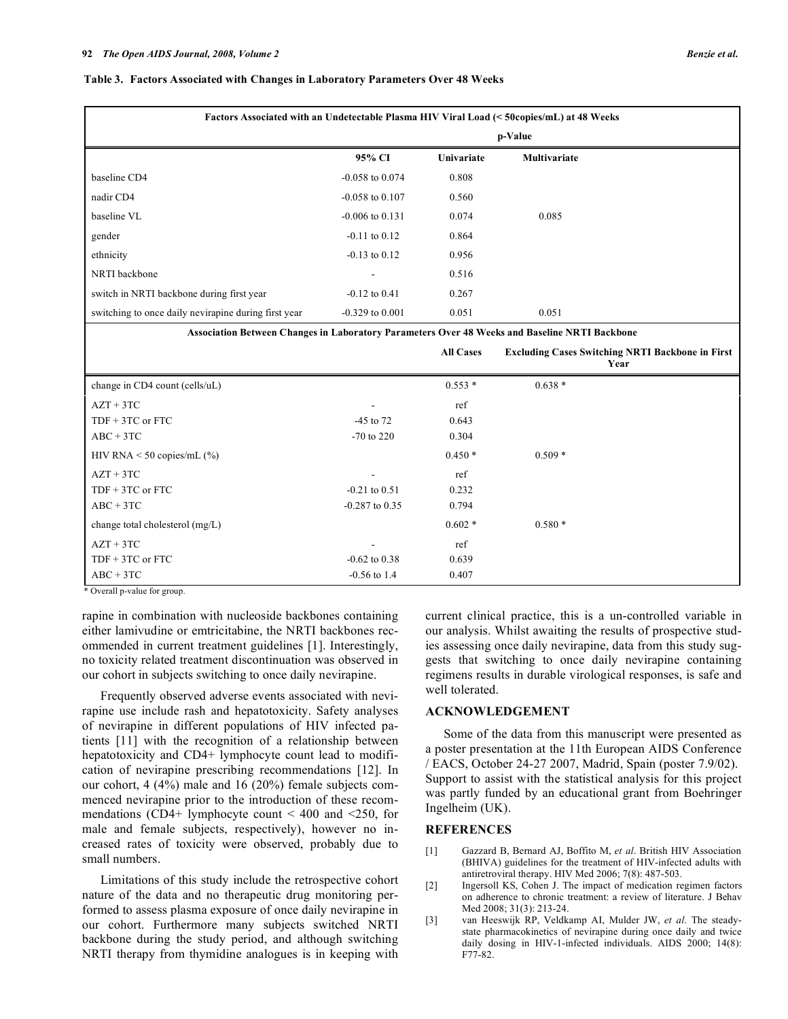#### **Table 3. Factors Associated with Changes in Laboratory Parameters Over 48 Weeks**

| Factors Associated with an Undetectable Plasma HIV Viral Load (< 50copies/mL) at 48 Weeks |                     |            |                     |  |
|-------------------------------------------------------------------------------------------|---------------------|------------|---------------------|--|
|                                                                                           | p-Value             |            |                     |  |
|                                                                                           | 95% CI              | Univariate | <b>Multivariate</b> |  |
| baseline CD4                                                                              | $-0.058$ to $0.074$ | 0.808      |                     |  |
| nadir CD4                                                                                 | $-0.058$ to $0.107$ | 0.560      |                     |  |
| baseline VL                                                                               | $-0.006$ to $0.131$ | 0.074      | 0.085               |  |
| gender                                                                                    | $-0.11$ to $0.12$   | 0.864      |                     |  |
| ethnicity                                                                                 | $-0.13$ to $0.12$   | 0.956      |                     |  |
| NRTI backbone                                                                             |                     | 0.516      |                     |  |
| switch in NRTI backbone during first year                                                 | $-0.12$ to $0.41$   | 0.267      |                     |  |
| switching to once daily nevirapine during first year                                      | $-0.329$ to $0.001$ | 0.051      | 0.051               |  |

**Association Between Changes in Laboratory Parameters Over 48 Weeks and Baseline NRTI Backbone** 

|                                 |                          | <b>All Cases</b> | <b>Excluding Cases Switching NRTI Backbone in First</b><br>Year |
|---------------------------------|--------------------------|------------------|-----------------------------------------------------------------|
| change in CD4 count (cells/uL)  |                          | $0.553*$         | $0.638*$                                                        |
| $AZT + 3TC$                     | $\overline{\phantom{a}}$ | ref              |                                                                 |
| $TDF + 3TC$ or $FTC$            | $-45$ to 72              | 0.643            |                                                                 |
| $ABC + 3TC$                     | $-70$ to 220             | 0.304            |                                                                 |
| HIV RNA $\leq$ 50 copies/mL (%) |                          | $0.450*$         | $0.509*$                                                        |
| $AZT + 3TC$                     | $\overline{\phantom{a}}$ | ref              |                                                                 |
| $TDF + 3TC$ or $FTC$            | $-0.21$ to $0.51$        | 0.232            |                                                                 |
| $ABC + 3TC$                     | $-0.287$ to $0.35$       | 0.794            |                                                                 |
| change total cholesterol (mg/L) |                          | $0.602*$         | $0.580*$                                                        |
| $AZT + 3TC$                     | $\overline{\phantom{0}}$ | ref              |                                                                 |
| $TDF + 3TC$ or $FTC$            | $-0.62$ to $0.38$        | 0.639            |                                                                 |
| $ABC + 3TC$                     | $-0.56$ to 1.4           | 0.407            |                                                                 |

\* Overall p-value for group.

rapine in combination with nucleoside backbones containing either lamivudine or emtricitabine, the NRTI backbones recommended in current treatment guidelines [1]. Interestingly, no toxicity related treatment discontinuation was observed in our cohort in subjects switching to once daily nevirapine.

 Frequently observed adverse events associated with nevirapine use include rash and hepatotoxicity. Safety analyses of nevirapine in different populations of HIV infected patients [11] with the recognition of a relationship between hepatotoxicity and CD4+ lymphocyte count lead to modification of nevirapine prescribing recommendations [12]. In our cohort, 4 (4%) male and 16 (20%) female subjects commenced nevirapine prior to the introduction of these recommendations (CD4+ lymphocyte count  $\leq 400$  and  $\leq 250$ , for male and female subjects, respectively), however no increased rates of toxicity were observed, probably due to small numbers.

 Limitations of this study include the retrospective cohort nature of the data and no therapeutic drug monitoring performed to assess plasma exposure of once daily nevirapine in our cohort. Furthermore many subjects switched NRTI backbone during the study period, and although switching NRTI therapy from thymidine analogues is in keeping with current clinical practice, this is a un-controlled variable in our analysis. Whilst awaiting the results of prospective studies assessing once daily nevirapine, data from this study suggests that switching to once daily nevirapine containing regimens results in durable virological responses, is safe and well tolerated.

#### **ACKNOWLEDGEMENT**

 Some of the data from this manuscript were presented as a poster presentation at the 11th European AIDS Conference / EACS, October 24-27 2007, Madrid, Spain (poster 7.9/02). Support to assist with the statistical analysis for this project was partly funded by an educational grant from Boehringer Ingelheim (UK).

#### **REFERENCES**

- [1] Gazzard B, Bernard AJ, Boffito M, *et al*. British HIV Association (BHIVA) guidelines for the treatment of HIV-infected adults with antiretroviral therapy. HIV Med 2006; 7(8): 487-503.
- [2] Ingersoll KS, Cohen J. The impact of medication regimen factors on adherence to chronic treatment: a review of literature. J Behav Med 2008; 31(3): 213-24.
- [3] van Heeswijk RP, Veldkamp AI, Mulder JW, *et al*. The steadystate pharmacokinetics of nevirapine during once daily and twice daily dosing in HIV-1-infected individuals. AIDS 2000; 14(8): F77-82.